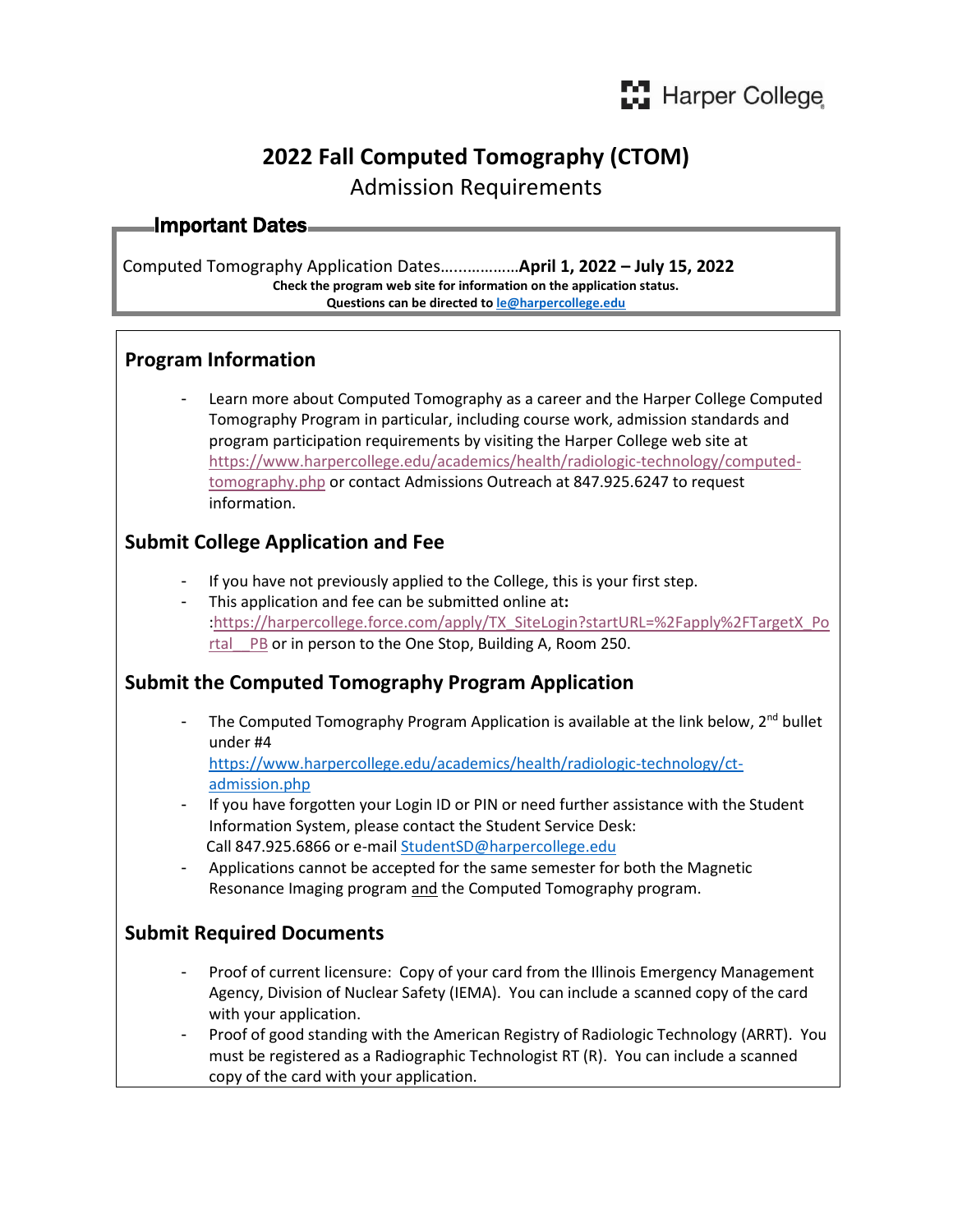# **2022 Fall Computed Tomography (CTOM)**

Admission Requirements

# Important Dates

Computed Tomography Application Dates…...…………**April 1, 2022 – July 15, 2022 Check the program web site for information on the application status. Questions can be directed t[o le@harpercollege.edu](mailto:le@harpercollege.edu)**

#### **Program Information**

- Learn more about Computed Tomography as a career and the Harper College Computed Tomography Program in particular, including course work, admission standards and program participation requirements by visiting the Harper College web site at [https://www.harpercollege.edu/academics/health/radiologic-technology/computed](https://www.harpercollege.edu/academics/health/radiologic-technology/computed-tomography.php)[tomography.php](https://www.harpercollege.edu/academics/health/radiologic-technology/computed-tomography.php) or contact Admissions Outreach at 847.925.6247 to request information.

#### **Submit College Application and Fee**

- If you have not previously applied to the College, this is your first step.
- This application and fee can be submitted online at**:** [:https://harpercollege.force.com/apply/TX\\_SiteLogin?startURL=%2Fapply%2FTargetX\\_Po](https://harpercollege.force.com/apply/TX_SiteLogin?startURL=%2Fapply%2FTargetX_Portal__PB) [rtal\\_\\_PB](https://harpercollege.force.com/apply/TX_SiteLogin?startURL=%2Fapply%2FTargetX_Portal__PB) or in person to the One Stop, Building A, Room 250.

## **Submit the Computed Tomography Program Application**

The Computed Tomography Program Application is available at the link below,  $2<sup>nd</sup>$  bullet under #4

[https://www.harpercollege.edu/academics/health/radiologic-technology/ct](https://www.harpercollege.edu/academics/health/radiologic-technology/ct-admission.php)[admission.php](https://www.harpercollege.edu/academics/health/radiologic-technology/ct-admission.php)

- If you have forgotten your Login ID or PIN or need further assistance with the Student Information System, please contact the Student Service Desk: Call 847.925.6866 or e-mai[l StudentSD@harpercollege.edu](mailto:studentsd@harpercollege.edu)
- Applications cannot be accepted for the same semester for both the Magnetic Resonance Imaging program and the Computed Tomography program.

## **Submit Required Documents**

- Proof of current licensure: Copy of your card from the Illinois Emergency Management Agency, Division of Nuclear Safety (IEMA). You can include a scanned copy of the card with your application.
- Proof of good standing with the American Registry of Radiologic Technology (ARRT). You must be registered as a Radiographic Technologist RT (R). You can include a scanned copy of the card with your application.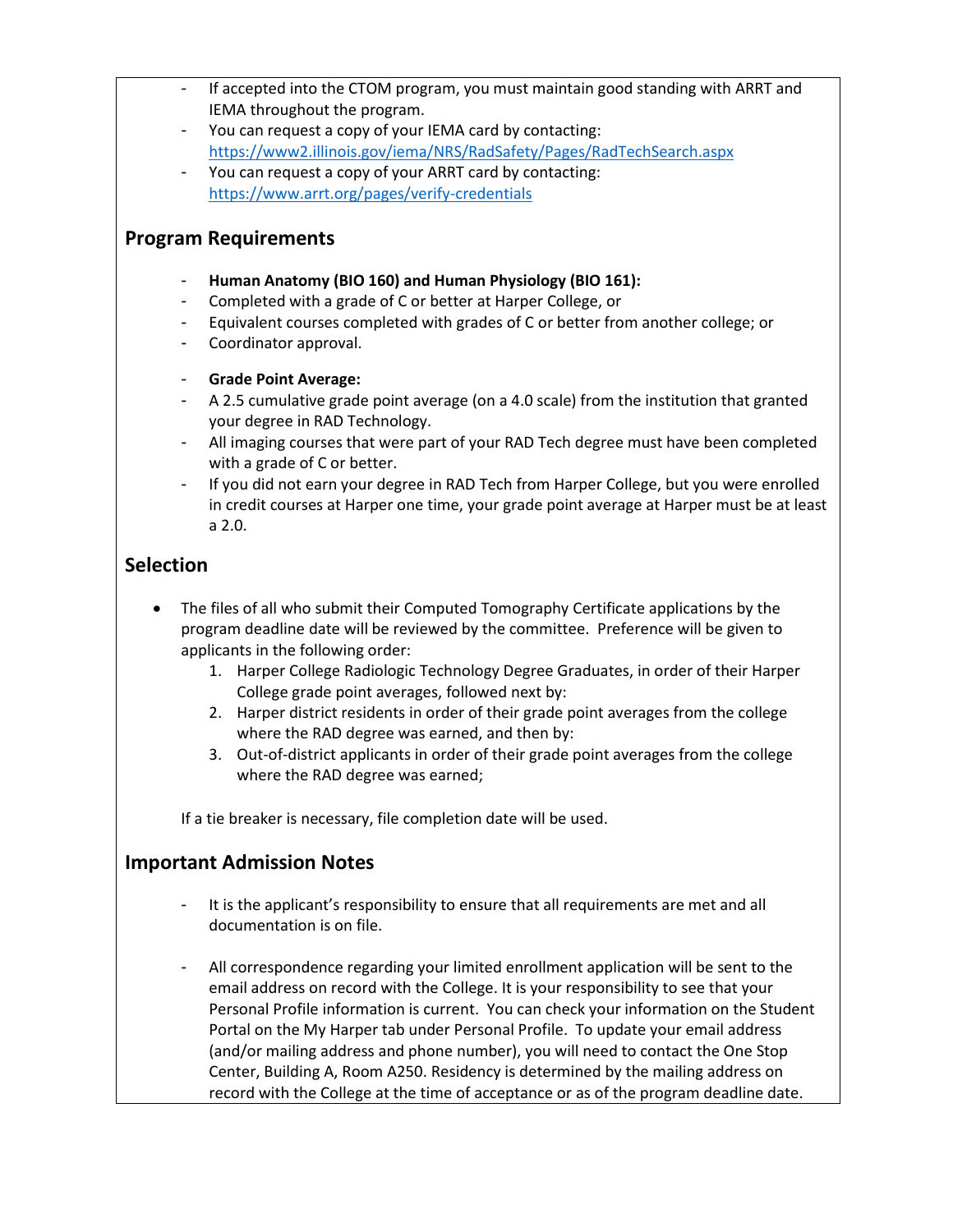- If accepted into the CTOM program, you must maintain good standing with ARRT and IEMA throughout the program.
- You can request a copy of your IEMA card by contacting: <https://www2.illinois.gov/iema/NRS/RadSafety/Pages/RadTechSearch.aspx>
- You can request a copy of your ARRT card by contacting: <https://www.arrt.org/pages/verify-credentials>

#### **Program Requirements**

- **Human Anatomy (BIO 160) and Human Physiology (BIO 161):**
- Completed with a grade of C or better at Harper College, or
- Equivalent courses completed with grades of C or better from another college; or
- Coordinator approval.
- **Grade Point Average:**
- A 2.5 cumulative grade point average (on a 4.0 scale) from the institution that granted your degree in RAD Technology.
- All imaging courses that were part of your RAD Tech degree must have been completed with a grade of C or better.
- If you did not earn your degree in RAD Tech from Harper College, but you were enrolled in credit courses at Harper one time, your grade point average at Harper must be at least a 2.0.

#### **Selection**

- The files of all who submit their Computed Tomography Certificate applications by the program deadline date will be reviewed by the committee. Preference will be given to applicants in the following order:
	- 1. Harper College Radiologic Technology Degree Graduates, in order of their Harper College grade point averages, followed next by:
	- 2. Harper district residents in order of their grade point averages from the college where the RAD degree was earned, and then by:
	- 3. Out-of-district applicants in order of their grade point averages from the college where the RAD degree was earned;

If a tie breaker is necessary, file completion date will be used.

#### **Important Admission Notes**

- It is the applicant's responsibility to ensure that all requirements are met and all documentation is on file.
- All correspondence regarding your limited enrollment application will be sent to the email address on record with the College. It is your responsibility to see that your Personal Profile information is current. You can check your information on the Student Portal on the My Harper tab under Personal Profile. To update your email address (and/or mailing address and phone number), you will need to contact the One Stop Center, Building A, Room A250. Residency is determined by the mailing address on record with the College at the time of acceptance or as of the program deadline date.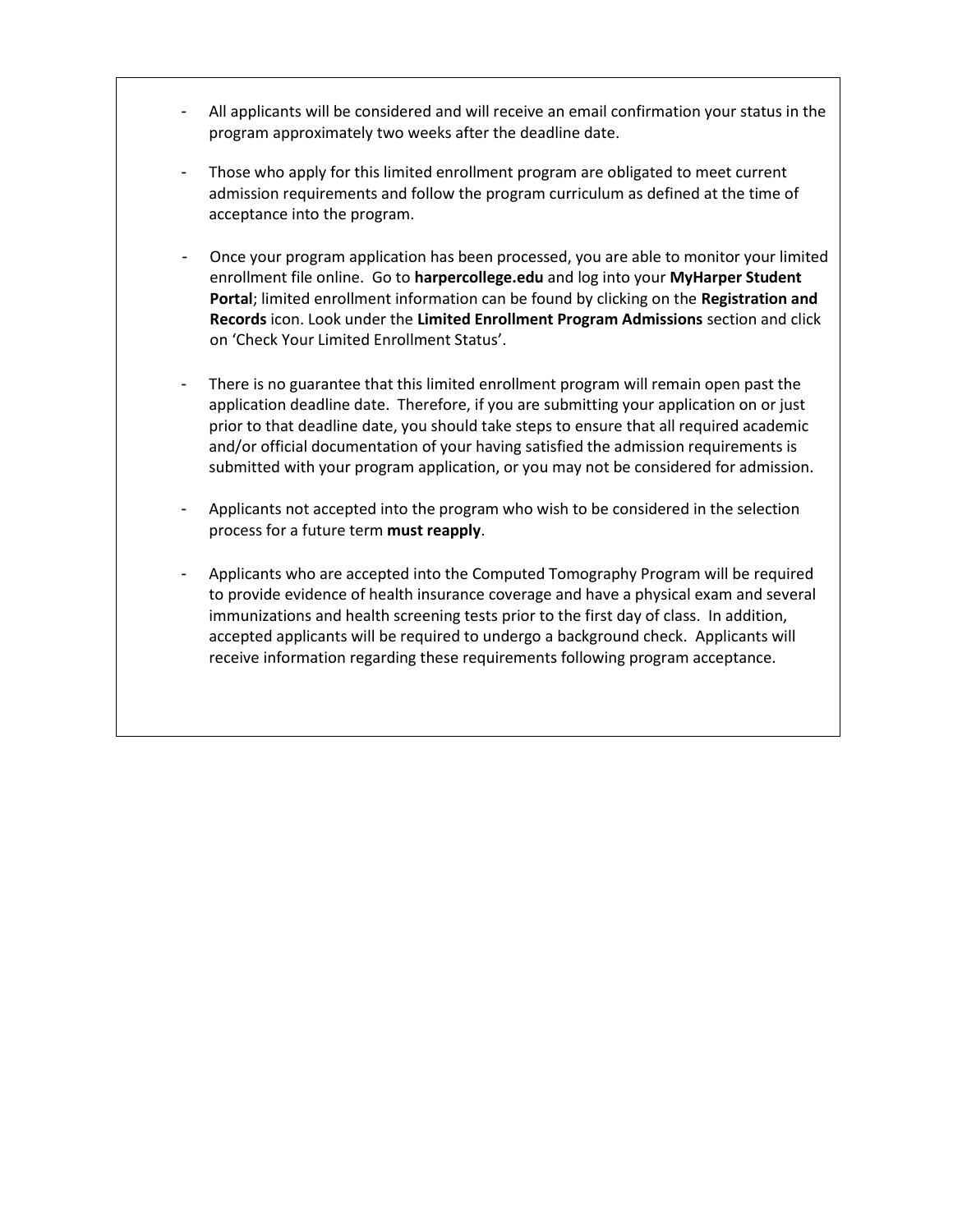- All applicants will be considered and will receive an email confirmation your status in the program approximately two weeks after the deadline date.
- Those who apply for this limited enrollment program are obligated to meet current admission requirements and follow the program curriculum as defined at the time of acceptance into the program.
- Once your program application has been processed, you are able to monitor your limited enrollment file online. Go to **harpercollege.edu** and log into your **MyHarper Student Portal**; limited enrollment information can be found by clicking on the **Registration and Records** icon. Look under the **Limited Enrollment Program Admissions** section and click on 'Check Your Limited Enrollment Status'.
- There is no guarantee that this limited enrollment program will remain open past the application deadline date. Therefore, if you are submitting your application on or just prior to that deadline date, you should take steps to ensure that all required academic and/or official documentation of your having satisfied the admission requirements is submitted with your program application, or you may not be considered for admission.
- Applicants not accepted into the program who wish to be considered in the selection process for a future term **must reapply**.
- Applicants who are accepted into the Computed Tomography Program will be required to provide evidence of health insurance coverage and have a physical exam and several immunizations and health screening tests prior to the first day of class. In addition, accepted applicants will be required to undergo a background check. Applicants will receive information regarding these requirements following program acceptance.